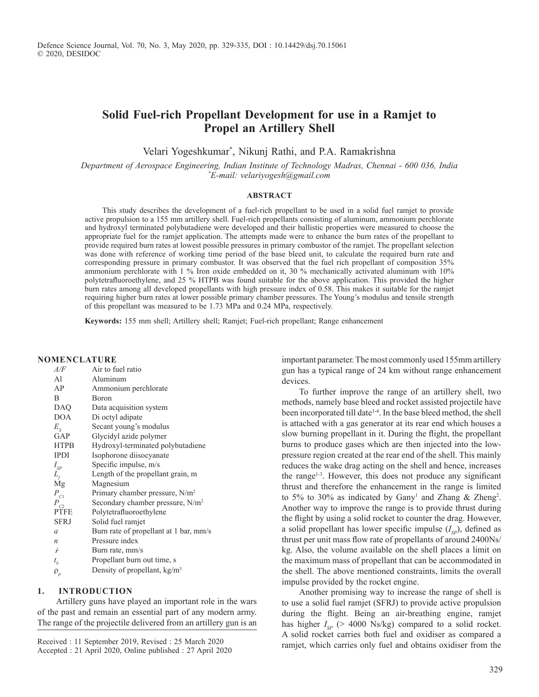# **Solid Fuel-rich Propellant Development for use in a Ramjet to Propel an Artillery Shell**

Velari Yogeshkumar\* , Nikunj Rathi, and P.A. Ramakrishna

*Department of Aerospace Engineering, Indian Institute of Technology Madras, Chennai - 600 036, India \*E-mail: velariyogesh@gmail.com*

### **ABSTRACT**

This study describes the development of a fuel-rich propellant to be used in a solid fuel ramjet to provide active propulsion to a 155 mm artillery shell. Fuel-rich propellants consisting of aluminum, ammonium perchlorate and hydroxyl terminated polybutadiene were developed and their ballistic properties were measured to choose the appropriate fuel for the ramjet application. The attempts made were to enhance the burn rates of the propellant to provide required burn rates at lowest possible pressures in primary combustor of the ramjet. The propellant selection was done with reference of working time period of the base bleed unit, to calculate the required burn rate and corresponding pressure in primary combustor. It was observed that the fuel rich propellant of composition 35% ammonium perchlorate with 1 % Iron oxide embedded on it, 30 % mechanically activated aluminum with 10% polytetrafluoroethylene, and 25 % HTPB was found suitable for the above application. This provided the higher burn rates among all developed propellants with high pressure index of 0.58. This makes it suitable for the ramjet requiring higher burn rates at lower possible primary chamber pressures. The Young's modulus and tensile strength of this propellant was measured to be 1.73 MPa and 0.24 MPa, respectively.

**Keywords:** 155 mm shell; Artillery shell; Ramjet; Fuel-rich propellant; Range enhancement

#### **NomeNClATuRe**

| A/F                        | Air to fuel ratio                            |
|----------------------------|----------------------------------------------|
| A1                         | Aluminum                                     |
| AP                         | Ammonium perchlorate                         |
| B                          | Boron                                        |
| DAQ                        | Data acquisition system                      |
| <b>DOA</b>                 | Di octyl adipate                             |
| $E_{\rm g}$                | Secant young's modulus                       |
| GAP                        | Glycidyl azide polymer                       |
| <b>HTPB</b>                | Hydroxyl-terminated polybutadiene            |
| <b>IPDI</b>                | Isophorone diisocyanate                      |
| $I_{SP}$                   | Specific impulse, m/s                        |
| $L_{\!f}$                  | Length of the propellant grain, m            |
| Mg                         | Magnesium                                    |
| $P_{C1}$                   | Primary chamber pressure, $N/m^2$            |
| $P_{C2}$                   | Secondary chamber pressure, N/m <sup>2</sup> |
| <b>PTFE</b>                | Polytetrafluoroethylene                      |
| <b>SFRJ</b>                | Solid fuel ramjet                            |
| $\alpha$                   | Burn rate of propellant at 1 bar, mm/s       |
| $\boldsymbol{n}$           | Pressure index                               |
| ŕ                          | Burn rate, mm/s                              |
| $t_{\scriptscriptstyle b}$ | Propellant burn out time, s                  |
| $\rho_{_{p}}$              | Density of propellant, $kg/m3$               |

# **1. INTRoDuCTIoN**

 Artillery guns have played an important role in the wars of the past and remain an essential part of any modern army. The range of the projectile delivered from an artillery gun is an

Accepted : 21 April 2020, Online published : 27 April 2020

important parameter. The most commonly used 155mm artillery gun has a typical range of 24 km without range enhancement devices.

To further improve the range of an artillery shell, two methods, namely base bleed and rocket assisted projectile have been incorporated till date<sup>14</sup>. In the base bleed method, the shell is attached with a gas generator at its rear end which houses a slow burning propellant in it. During the flight, the propellant burns to produce gases which are then injected into the lowpressure region created at the rear end of the shell. This mainly reduces the wake drag acting on the shell and hence, increases the range<sup>1-3</sup>. However, this does not produce any significant thrust and therefore the enhancement in the range is limited to 5% to 30% as indicated by Gany<sup>1</sup> and Zhang & Zheng<sup>2</sup>. Another way to improve the range is to provide thrust during the flight by using a solid rocket to counter the drag. However, a solid propellant has lower specific impulse  $(I_{SP})$ , defined as thrust per unit mass flow rate of propellants of around 2400Ns/ kg. Also, the volume available on the shell places a limit on the maximum mass of propellant that can be accommodated in the shell. The above mentioned constraints, limits the overall impulse provided by the rocket engine.

Another promising way to increase the range of shell is to use a solid fuel ramjet (SFRJ) to provide active propulsion during the flight. Being an air-breathing engine, ramjet has higher  $I_{SP}$  (> 4000 Ns/kg) compared to a solid rocket. A solid rocket carries both fuel and oxidiser as compared a Received : 11 September 2019, Revised : 25 March 2020<br>ramjet, which carries only fuel and obtains oxidiser from the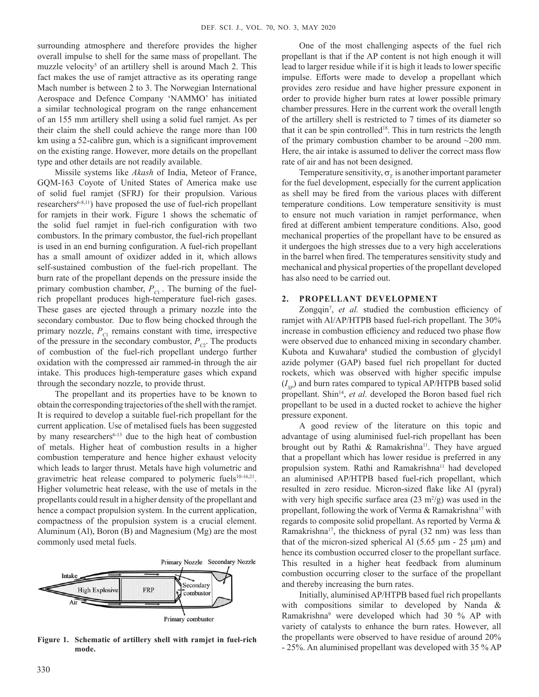surrounding atmosphere and therefore provides the higher overall impulse to shell for the same mass of propellant. The muzzle velocity<sup>5</sup> of an artillery shell is around Mach 2. This fact makes the use of ramjet attractive as its operating range Mach number is between 2 to 3. The Norwegian International Aerospace and Defence Company 'NAMMO' has initiated a similar technological program on the range enhancement of an 155 mm artillery shell using a solid fuel ramjet. As per their claim the shell could achieve the range more than 100 km using a 52-calibre gun, which is a significant improvement on the existing range. However, more details on the propellant type and other details are not readily available.

Missile systems like *Akash* of India, Meteor of France, GQM-163 Coyote of United States of America make use of solid fuel ramjet (SFRJ) for their propulsion. Various researchers<sup>6-8,11</sup>) have proposed the use of fuel-rich propellant for ramjets in their work. Figure 1 shows the schematic of the solid fuel ramjet in fuel-rich configuration with two combustors. In the primary combustor, the fuel-rich propellant is used in an end burning configuration. A fuel-rich propellant has a small amount of oxidizer added in it, which allows self-sustained combustion of the fuel-rich propellant. The burn rate of the propellant depends on the pressure inside the primary combustion chamber,  $P_{C_1}$ . The burning of the fuelrich propellant produces high-temperature fuel-rich gases. These gases are ejected through a primary nozzle into the secondary combustor. Due to flow being chocked through the primary nozzle,  $P_{C1}$  remains constant with time, irrespective of the pressure in the secondary combustor,  $P_{C2}$ . The products of combustion of the fuel-rich propellant undergo further oxidation with the compressed air rammed-in through the air intake. This produces high-temperature gases which expand through the secondary nozzle, to provide thrust.

The propellant and its properties have to be known to obtain the corresponding trajectories of the shell with the ramjet. It is required to develop a suitable fuel-rich propellant for the current application. Use of metalised fuels has been suggested by many researchers<sup>6-13</sup> due to the high heat of combustion of metals. Higher heat of combustion results in a higher combustion temperature and hence higher exhaust velocity which leads to larger thrust. Metals have high volumetric and gravimetric heat release compared to polymeric fuels<sup>10-16,21</sup>. Higher volumetric heat release, with the use of metals in the propellants could result in a higher density of the propellant and hence a compact propulsion system. In the current application, compactness of the propulsion system is a crucial element. Aluminum (Al), Boron (B) and Magnesium (Mg) are the most commonly used metal fuels.



**Figure 1. Schematic of artillery shell with ramjet in fuel-rich mode.**

One of the most challenging aspects of the fuel rich propellant is that if the AP content is not high enough it will lead to larger residue while if it is high it leads to lower specific impulse. Efforts were made to develop a propellant which provides zero residue and have higher pressure exponent in order to provide higher burn rates at lower possible primary chamber pressures. Here in the current work the overall length of the artillery shell is restricted to 7 times of its diameter so that it can be spin controlled<sup>18</sup>. This in turn restricts the length of the primary combustion chamber to be around ~200 mm. Here, the air intake is assumed to deliver the correct mass flow rate of air and has not been designed.

Temperature sensitivity,  $\sigma$ <sub>*I*</sub> is another important parameter for the fuel development, especially for the current application as shell may be fired from the various places with different temperature conditions. Low temperature sensitivity is must to ensure not much variation in ramjet performance, when fired at different ambient temperature conditions. Also, good mechanical properties of the propellant have to be ensured as it undergoes the high stresses due to a very high accelerations in the barrel when fired. The temperatures sensitivity study and mechanical and physical properties of the propellant developed has also need to be carried out.

## **2. PRoPellANT DeveloPmeNT**

Zongqin<sup>7</sup>, et al. studied the combustion efficiency of ramjet with Al/AP/HTPB based fuel-rich propellant. The 30% increase in combustion efficiency and reduced two phase flow were observed due to enhanced mixing in secondary chamber. Kubota and Kuwahara<sup>8</sup> studied the combustion of glycidyl azide polymer (GAP) based fuel rich propellant for ducted rockets, which was observed with higher specific impulse  $(I_{\text{SP}})$  and burn rates compared to typical AP/HTPB based solid propellant. Shin<sup>14</sup>, et al. developed the Boron based fuel rich propellant to be used in a ducted rocket to achieve the higher pressure exponent.

A good review of the literature on this topic and advantage of using aluminised fuel-rich propellant has been brought out by Rathi & Ramakrishna<sup>11</sup>. They have argued that a propellant which has lower residue is preferred in any propulsion system. Rathi and Ramakrishna<sup>11</sup> had developed an aluminised AP/HTPB based fuel-rich propellant, which resulted in zero residue. Micron-sized flake like Al (pyral) with very high specific surface area  $(23 \text{ m}^2/\text{g})$  was used in the propellant, following the work of Verma & Ramakrishna<sup>17</sup> with regards to composite solid propellant. As reported by Verma & Ramakrishna<sup>17</sup>, the thickness of pyral (32 nm) was less than that of the micron-sized spherical Al  $(5.65 \mu m - 25 \mu m)$  and hence its combustion occurred closer to the propellant surface. This resulted in a higher heat feedback from aluminum combustion occurring closer to the surface of the propellant and thereby increasing the burn rates.

Initially, aluminised AP/HTPB based fuel rich propellants with compositions similar to developed by Nanda & Ramakrishna<sup>9</sup> were developed which had 30 % AP with variety of catalysts to enhance the burn rates. However, all the propellants were observed to have residue of around 20% - 25%. An aluminised propellant was developed with 35 % AP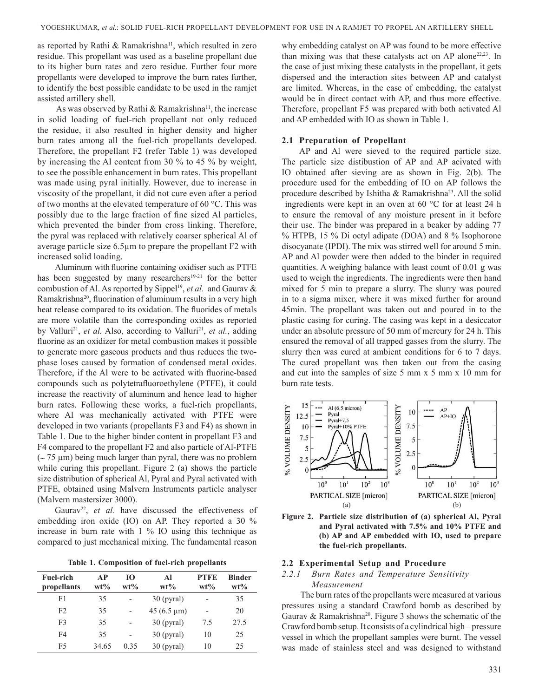as reported by Rathi & Ramakrishna<sup>11</sup>, which resulted in zero residue. This propellant was used as a baseline propellant due to its higher burn rates and zero residue. Further four more propellants were developed to improve the burn rates further, to identify the best possible candidate to be used in the ramjet assisted artillery shell.

As was observed by Rathi & Ramakrishna<sup>11</sup>, the increase in solid loading of fuel-rich propellant not only reduced the residue, it also resulted in higher density and higher burn rates among all the fuel-rich propellants developed. Therefore, the propellant F2 (refer Table 1) was developed by increasing the Al content from 30 % to 45 % by weight, to see the possible enhancement in burn rates. This propellant was made using pyral initially. However, due to increase in viscosity of the propellant, it did not cure even after a period of two months at the elevated temperature of 60  $\degree$ C. This was possibly due to the large fraction of fine sized Al particles, which prevented the binder from cross linking. Therefore, the pyral was replaced with relatively coarser spherical Al of average particle size 6.5µm to prepare the propellant F2 with increased solid loading.

Aluminum with fluorine containing oxidiser such as PTFE has been suggested by many researchers<sup>19-21</sup> for the better combustion of Al. As reported by Sippel<sup>19</sup>, et al. and Gaurav & Ramakrishna<sup>20</sup>, fluorination of aluminum results in a very high heat release compared to its oxidation. The fluorides of metals are more volatile than the corresponding oxides as reported by Valluri<sup>21</sup>, et al. Also, according to Valluri<sup>21</sup>, et al., adding fluorine as an oxidizer for metal combustion makes it possible to generate more gaseous products and thus reduces the twophase loses caused by formation of condensed metal oxides. Therefore, if the Al were to be activated with fluorine-based compounds such as polytetrafluoroethylene (PTFE), it could increase the reactivity of aluminum and hence lead to higher burn rates. Following these works, a fuel-rich propellants, where Al was mechanically activated with PTFE were developed in two variants (propellants F3 and F4) as shown in Table 1. Due to the higher binder content in propellant F3 and F4 compared to the propellant F2 and also particle of Al-PTFE  $\left( \sim 75 \text{ }\mu\text{m} \right)$  being much larger than pyral, there was no problem while curing this propellant. Figure 2 (a) shows the particle size distribution of spherical Al, Pyral and Pyral activated with PTFE, obtained using Malvern Instruments particle analyser (Malvern mastersizer 3000).

Gaurav<sup>22</sup>, et al. have discussed the effectiveness of embedding iron oxide (IO) on AP. They reported a 30 % increase in burn rate with 1 % IO using this technique as compared to just mechanical mixing. The fundamental reason

**Table 1. Composition of fuel-rich propellants**

| <b>Fuel-rich</b><br>propellants | AP<br>$wt\%$ | Ю<br>$wt\%$ | AI<br>$wt\%$               | <b>PTFE</b><br>$wt\%$        | <b>Binder</b><br>$wt\%$ |
|---------------------------------|--------------|-------------|----------------------------|------------------------------|-------------------------|
| F1                              | 35           | -           | $30$ (pyral)               | $\qquad \qquad \blacksquare$ | 35                      |
| F <sub>2</sub>                  | 35           |             | $45(6.5 \,\mathrm{\mu m})$ |                              | 20                      |
| F3                              | 35           |             | $30$ (pyral)               | 7.5                          | 27.5                    |
| F4                              | 35           |             | $30$ (pyral)               | 10                           | 25                      |
| F5                              | 34.65        | 0.35        | $30$ (pyral)               | 10                           | 25                      |

why embedding catalyst on AP was found to be more effective than mixing was that these catalysts act on AP alone<sup>22,23</sup>. In the case of just mixing these catalysts in the propellant, it gets dispersed and the interaction sites between AP and catalyst are limited. Whereas, in the case of embedding, the catalyst would be in direct contact with AP, and thus more effective. Therefore, propellant F5 was prepared with both activated Al and AP embedded with IO as shown in Table 1.

#### **2.1 Preparation of Propellant**

AP and Al were sieved to the required particle size. The particle size distibustion of AP and AP acivated with Io obtained after sieving are as shown in Fig. 2(b). The procedure used for the embedding of IO on AP follows the procedure described by Ishitha & Ramakrishna<sup>23</sup>. All the solid ingredients were kept in an oven at 60 °C for at least 24 h to ensure the removal of any moisture present in it before their use. The binder was prepared in a beaker by adding 77 % HTPB, 15 % Di octyl adipate (DoA) and 8 % Isophorone disocyanate (IPDI). The mix was stirred well for around 5 min. AP and Al powder were then added to the binder in required quantities. A weighing balance with least count of 0.01 g was used to weigh the ingredients. The ingredients were then hand mixed for 5 min to prepare a slurry. The slurry was poured in to a sigma mixer, where it was mixed further for around 45min. The propellant was taken out and poured in to the plastic casing for curing. The casing was kept in a desiccator under an absolute pressure of 50 mm of mercury for 24 h. This ensured the removal of all trapped gasses from the slurry. The slurry then was cured at ambient conditions for 6 to 7 days. The cured propellant was then taken out from the casing and cut into the samples of size 5 mm x 5 mm x 10 mm for burn rate tests.



**Figure 2. Particle size distribution of (a) spherical Al, Pyral and Pyral activated with 7.5% and 10% PTFe and (b) AP and AP embedded with Io, used to prepare the fuel-rich propellants.**

### **2.2 experimental Setup and Procedure**

# *2.2.1 Burn Rates and Temperature Sensitivity Measurement*

 The burn rates of the propellants were measured at various pressures using a standard Crawford bomb as described by Gaurav & Ramakrishna<sup>20</sup>. Figure 3 shows the schematic of the Crawford bomb setup. It consists of a cylindrical high – pressure vessel in which the propellant samples were burnt. The vessel was made of stainless steel and was designed to withstand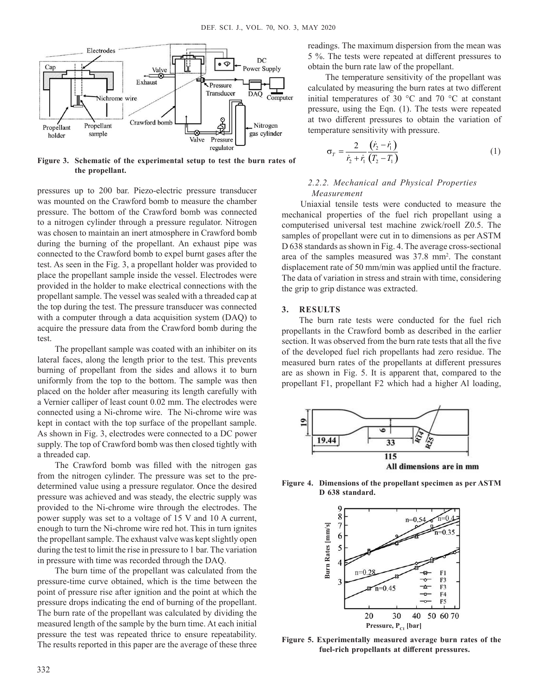

**Figure 3. Schematic of the experimental setup to test the burn rates of the propellant.**

pressures up to 200 bar. Piezo-electric pressure transducer was mounted on the Crawford bomb to measure the chamber pressure. The bottom of the Crawford bomb was connected to a nitrogen cylinder through a pressure regulator. Nitrogen was chosen to maintain an inert atmosphere in Crawford bomb during the burning of the propellant. An exhaust pipe was connected to the Crawford bomb to expel burnt gases after the test. As seen in the Fig. 3, a propellant holder was provided to place the propellant sample inside the vessel. Electrodes were provided in the holder to make electrical connections with the propellant sample. The vessel was sealed with a threaded cap at the top during the test. The pressure transducer was connected with a computer through a data acquisition system (DAQ) to acquire the pressure data from the Crawford bomb during the test.

The propellant sample was coated with an inhibiter on its lateral faces, along the length prior to the test. This prevents burning of propellant from the sides and allows it to burn uniformly from the top to the bottom. The sample was then placed on the holder after measuring its length carefully with a Vernier calliper of least count 0.02 mm. The electrodes were connected using a Ni-chrome wire. The Ni-chrome wire was kept in contact with the top surface of the propellant sample. As shown in Fig. 3, electrodes were connected to a DC power supply. The top of Crawford bomb was then closed tightly with a threaded cap.

The crawford bomb was filled with the nitrogen gas from the nitrogen cylinder. The pressure was set to the predetermined value using a pressure regulator. Once the desired pressure was achieved and was steady, the electric supply was provided to the Ni-chrome wire through the electrodes. The power supply was set to a voltage of 15 V and 10 A current, enough to turn the Ni-chrome wire red hot. This in turn ignites the propellant sample. The exhaust valve was kept slightly open during the test to limit the rise in pressure to 1 bar. The variation in pressure with time was recorded through the DAQ.

The burn time of the propellant was calculated from the pressure-time curve obtained, which is the time between the point of pressure rise after ignition and the point at which the pressure drops indicating the end of burning of the propellant. The burn rate of the propellant was calculated by dividing the measured length of the sample by the burn time. At each initial pressure the test was repeated thrice to ensure repeatability. The results reported in this paper are the average of these three

readings. The maximum dispersion from the mean was 5 %. The tests were repeated at different pressures to obtain the burn rate law of the propellant.

The temperature sensitivity of the propellant was calculated by measuring the burn rates at two different initial temperatures of 30 °C and 70 °C at constant pressure, using the Eqn. (1). The tests were repeated at two different pressures to obtain the variation of temperature sensitivity with pressure.

$$
\sigma_T = \frac{2}{\dot{r}_2 + \dot{r}_1} \frac{(\dot{r}_2 - \dot{r}_1)}{(T_2 - T_1)}\tag{1}
$$

## *2.2.2. Mechanical and Physical Properties Measurement*

Uniaxial tensile tests were conducted to measure the mechanical properties of the fuel rich propellant using a computerised universal test machine zwick/roell Z0.5. The samples of propellant were cut in to dimensions as per ASTM D 638 standards as shown in Fig. 4. The average cross-sectional area of the samples measured was 37.8 mm<sup>2</sup>. The constant displacement rate of 50 mm/min was applied until the fracture. The data of variation in stress and strain with time, considering the grip to grip distance was extracted.

# **3. ReSulTS**

The burn rate tests were conducted for the fuel rich propellants in the Crawford bomb as described in the earlier section. It was observed from the burn rate tests that all the five of the developed fuel rich propellants had zero residue. The measured burn rates of the propellants at different pressures are as shown in Fig. 5. It is apparent that, compared to the propellant F1, propellant F2 which had a higher Al loading,



**Figure 4. Dimensions of the propellant specimen as per ASTm D 638 standard.**



Figure 5. Experimentally measured average burn rates of the **fuel-rich propellants at different pressures.**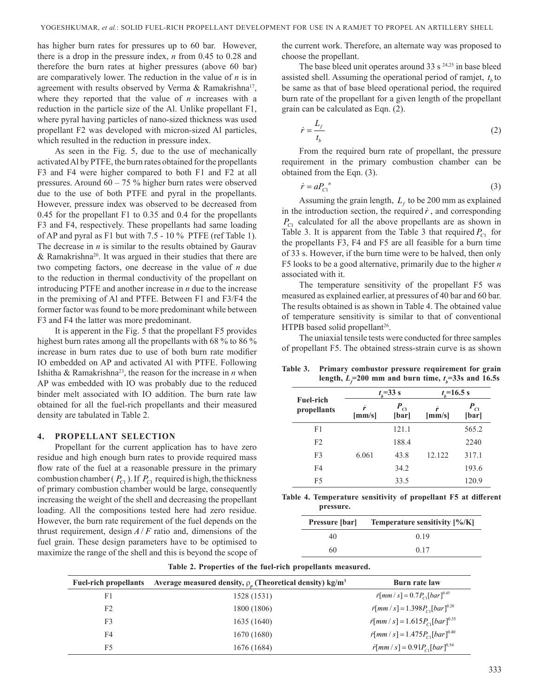has higher burn rates for pressures up to 60 bar. However, there is a drop in the pressure index, *n* from 0.45 to 0.28 and therefore the burn rates at higher pressures (above 60 bar) are comparatively lower. The reduction in the value of *n* is in agreement with results observed by Verma & Ramakrishna<sup>17</sup>, where they reported that the value of *n* increases with a reduction in the particle size of the Al. Unlike propellant F1, where pyral having particles of nano-sized thickness was used propellant F2 was developed with micron-sized Al particles, which resulted in the reduction in pressure index.

As seen in the Fig. 5, due to the use of mechanically activated Al by PTFE, the burn rates obtained for the propellants F3 and F4 were higher compared to both F1 and F2 at all pressures. Around 60 – 75 % higher burn rates were observed due to the use of both PTFE and pyral in the propellants. However, pressure index was observed to be decreased from 0.45 for the propellant F1 to 0.35 and 0.4 for the propellants F3 and F4, respectively. These propellants had same loading of AP and pyral as F1 but with 7.5 - 10 % PTFE (ref Table 1). The decrease in  $n$  is similar to the results obtained by Gaurav & Ramakrishna<sup>20</sup>. It was argued in their studies that there are two competing factors, one decrease in the value of *n* due to the reduction in thermal conductivity of the propellant on introducing PTFE and another increase in *n* due to the increase in the premixing of Al and PTFE. Between F1 and F3/F4 the former factor was found to be more predominant while between F3 and F4 the latter was more predominant.

It is apperent in the Fig. 5 that the propellant F5 provides highest burn rates among all the propellants with 68 % to 86 % increase in burn rates due to use of both burn rate modifier IO embedded on AP and activated Al with PTFE. Following Ishitha & Ramakrishna<sup>23</sup>, the reason for the increase in *n* when AP was embedded with IO was probably due to the reduced binder melt associated with IO addition. The burn rate law obtained for all the fuel-rich propellants and their measured density are tabulated in Table 2.

#### **4. PRoPellANT SeleCTIoN**

Propellant for the current application has to have zero residue and high enough burn rates to provide required mass flow rate of the fuel at a reasonable pressure in the primary combustion chamber ( $P_{C1}$ ). If  $P_{C1}$  required is high, the thickness of primary combustion chamber would be large, consequently increasing the weight of the shell and decreasing the propellant loading. All the compositions tested here had zero residue. However, the burn rate requirement of the fuel depends on the thrust requirement, design  $A/F$  ratio and, dimensions of the fuel grain. These design parameters have to be optimised to maximize the range of the shell and this is beyond the scope of

the current work. Therefore, an alternate way was proposed to choose the propellant.

The base bleed unit operates around 33 s  $24,25$  in base bleed assisted shell. Assuming the operational period of ramjet,  $t<sub>b</sub>$  to be same as that of base bleed operational period, the required burn rate of the propellant for a given length of the propellant grain can be calculated as Eqn. (2).

$$
\dot{r} = \frac{L_f}{t_b} \tag{2}
$$

From the required burn rate of propellant, the pressure requirement in the primary combustion chamber can be obtained from the Eqn. (3).

$$
\dot{r} = a P_{\text{Cl}}^{\quad n} \tag{3}
$$

Assuming the grain length,  $L_f$  to be 200 mm as explained in the introduction section, the required  $\dot{r}$ , and corresponding *PC*1 calculated for all the above propellants are as shown in Table 3. It is apparent from the Table 3 that required  $P_{C1}$  for the propellants F3, F4 and F5 are all feasible for a burn time of 33 s. However, if the burn time were to be halved, then only F5 looks to be a good alternative, primarily due to the higher *n* associated with it.

The temperature sensitivity of the propellant F5 was measured as explained earlier, at pressures of 40 bar and 60 bar. The results obtained is as shown in Table 4. The obtained value of temperature sensitivity is similar to that of conventional HTPB based solid propellant<sup>26</sup>.

The uniaxial tensile tests were conducted for three samples of propellant F5. The obtained stress-strain curve is as shown

**Table 3. Primary combustor pressure requirement for grain**   $\text{length, } L_f = 200 \text{ mm and burn time, } t_b = 33 \text{s and } 16.5 \text{s}$ 

|                                 | $t_{h} = 33$ s      |                   | $t_{\rm r}$ =16.5 s |                   |
|---------------------------------|---------------------|-------------------|---------------------|-------------------|
| <b>Fuel-rich</b><br>propellants | ŕ<br>${\rm [mm/s]}$ | $P_{C1}$<br>[bar] | ŕ<br>${\rm [mm/s]}$ | $P_{C1}$<br>[bar] |
| F1                              |                     | 121.1             |                     | 565.2             |
| F2                              |                     | 188.4             |                     | 2240              |
| F <sub>3</sub>                  | 6.061               | 43.8              | 12.122              | 317.1             |
| F <sub>4</sub>                  |                     | 34.2              |                     | 193.6             |
| F <sub>5</sub>                  |                     | 33.5              |                     | 120.9             |

**Table 4. Temperature sensitivity of propellant F5 at different pressure.**

| <b>Pressure</b> [bar] | Temperature sensitivity [%/K] |
|-----------------------|-------------------------------|
| 40                    | 0.19                          |
| 60                    | 0.17                          |

| <b>Fuel-rich propellants</b> | Average measured density, $\rho_{n}$ (Theoretical density) kg/m <sup>3</sup> | Burn rate law                                                                     |
|------------------------------|------------------------------------------------------------------------------|-----------------------------------------------------------------------------------|
| F <sub>1</sub>               | 1528 (1531)                                                                  | $\dot{r}$ [mm / s] = 0.7 $P_{C1}$ [bar] <sup>0.45</sup>                           |
| F <sub>2</sub>               | 1800 (1806)                                                                  | $r[mm/s] = 1.398 P_{c1} [bar]^{0.28}$                                             |
| F3                           | 1635 (1640)                                                                  | $\dot{r}$ [ <i>mm</i> / s] = 1.615 $P_{c1}$ [ <i>bar</i> ] <sup>0.35</sup>        |
| F4                           | 1670 (1680)                                                                  | $\dot{r}$ [ <i>mm</i> / s] = 1.475 $P_{\text{Cl}}$ [ <i>bar</i> ] <sup>0.40</sup> |
| F <sub>5</sub>               | 1676 (1684)                                                                  | $\hat{r}$ [mm / s] = 0.91 $P_{c1}$ [bar] <sup>0.54</sup>                          |

**Table 2. Properties of the fuel-rich propellants measured.**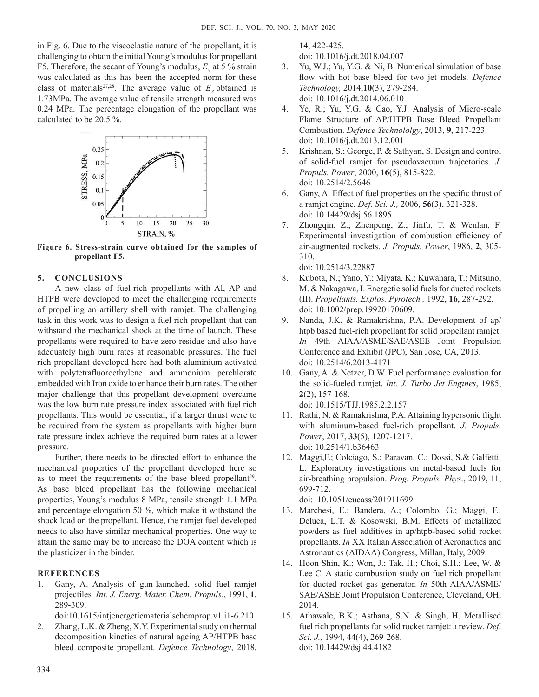in Fig. 6. Due to the viscoelastic nature of the propellant, it is challenging to obtain the initial Young's modulus for propellant F5. Therefore, the secant of Young's modulus,  $E<sub>S</sub>$  at 5 % strain was calculated as this has been the accepted norm for these class of materials<sup>27,28</sup>. The average value of  $E<sub>s</sub>$  obtained is 1.73MPa. The average value of tensile strength measured was 0.24 MPa. The percentage elongation of the propellant was calculated to be 20.5 %.



**Figure 6. Stress-strain curve obtained for the samples of propellant F5.**

# **5. CoNCluSIoNS**

A new class of fuel-rich propellants with Al, AP and HTPB were developed to meet the challenging requirements of propelling an artillery shell with ramjet. The challenging task in this work was to design a fuel rich propellant that can withstand the mechanical shock at the time of launch. These propellants were required to have zero residue and also have adequately high burn rates at reasonable pressures. The fuel rich propellant developed here had both aluminium activated with polytetrafluoroethylene and ammonium perchlorate embedded with Iron oxide to enhance their burn rates. The other major challenge that this propellant development overcame was the low burn rate pressure index associated with fuel rich propellants. This would be essential, if a larger thrust were to be required from the system as propellants with higher burn rate pressure index achieve the required burn rates at a lower pressure.

Further, there needs to be directed effort to enhance the mechanical properties of the propellant developed here so as to meet the requirements of the base bleed propellant<sup>29</sup>. As base bleed propellant has the following mechanical properties, Young's modulus 8 MPa, tensile strength 1.1 MPa and percentage elongation 50 %, which make it withstand the shock load on the propellant. Hence, the ramjet fuel developed needs to also have similar mechanical properties. One way to attain the same may be to increase the DOA content which is the plasticizer in the binder.

# **ReFeReNCeS**

1. Gany, A. Analysis of gun-launched, solid fuel ramjet projectiles*. Int. J. Energ. Mater. Chem. Propuls*., 1991, **1**, 289-309.

doi:10.1615/intjenergeticmaterialschemprop.v1.i1-6.210

2. Zhang, L.K. & Zheng, X.Y. Experimental study on thermal decomposition kinetics of natural ageing AP/HTPB base bleed composite propellant. *Defence Technology*, 2018,

**14**, 422-425.

doi: 10.1016/j.dt.2018.04.007

- 3. Yu, W.J.; Yu, Y.G. & Ni, B. Numerical simulation of base flow with hot base bleed for two jet models. *Defence Technology,* 2014,**10**(3), 279-284. doi: 10.1016/j.dt.2014.06.010
- 4. Ye, R.; Yu, Y.G. & Cao, Y.J. Analysis of Micro-scale Flame Structure of AP/HTPB Base Bleed Propellant Combustion. *Defence Technololgy*, 2013, **9**, 217-223. doi: 10.1016/j.dt.2013.12.001
- 5. Krishnan, S.; George, P. & Sathyan, S. Design and control of solid-fuel ramjet for pseudovacuum trajectories. *J. Propuls. Power*, 2000, **16**(5), 815-822. doi: 10.2514/2.5646
- 6. Gany, A. Effect of fuel properties on the specific thrust of a ramjet engine*. Def. Sci. J.,* 2006, **56**(3), 321-328. doi: 10.14429/dsj.56.1895
- 7. Zhongqin, Z.; Zhenpeng, Z.; Jinfu, T. & Wenlan, F. Experimental investigation of combustion efficiency of air-augmented rockets. *J. Propuls. Power*, 1986, **2**, 305- 310.

doi: 10.2514/3.22887

- 8. Kubota, N.; Yano, Y.; Miyata, K.; Kuwahara, T.; Mitsuno, M. & Nakagawa, I. Energetic solid fuels for ducted rockets (II). *Propellants, Explos. Pyrotech.,* 1992, **16**, 287-292. doi: 10.1002/prep.19920170609.
- 9. Nanda, J.K. & Ramakrishna, P.A. Development of ap/ htpb based fuel-rich propellant for solid propellant ramjet. *In* 49th AIAA/ASME/SAE/ASEE Joint Propulsion conference and Exhibit (JPc), San Jose, cA, 2013. doi: 10.2514/6.2013-4171
- 10. Gany, A. & Netzer, D.W. Fuel performance evaluation for the solid-fueled ramjet. *Int. J. Turbo Jet Engines*, 1985, **2**(2), 157-168. doi: 10.1515/TJJ.1985.2.2.157
- 11. Rathi, N. & Ramakrishna, P.A. Attaining hypersonic flight with aluminum-based fuel-rich propellant. *J. Propuls. Power*, 2017, **33**(5), 1207-1217. doi: 10.2514/1.b36463
- 12. Maggi,F.; Colciago, S.; Paravan, C.; Dossi, S.& Galfetti, L. Exploratory investigations on metal-based fuels for air-breathing propulsion. *Prog. Propuls. Phys*., 2019, 11, 699-712.

doi: 10.1051/eucass/201911699

- 13. Marchesi, E.; Bandera, A.; colombo, G.; Maggi, F.; Deluca, l.T. & kosowski, B.M. Effects of metallized powders as fuel additives in ap/htpb-based solid rocket propellants. *In* XX Italian Association of Aeronautics and Astronautics (AIDAA) congress, Millan, Italy, 2009.
- 14. Hoon Shin, k.; Won, J.; Tak, H.; choi, S.H.; lee, W. & Lee C. A static combustion study on fuel rich propellant for ducted rocket gas generator. *In* 50th AIAA/ASME/ SAE/ASEE Joint Propulsion conference, cleveland, oH, 2014.
- 15. Athawale, B.k.; Asthana, S.N. & Singh, H. Metallised fuel rich propellants for solid rocket ramjet: a review. *Def. Sci. J.,* 1994, **44**(4), 269-268. doi: 10.14429/dsj.44.4182